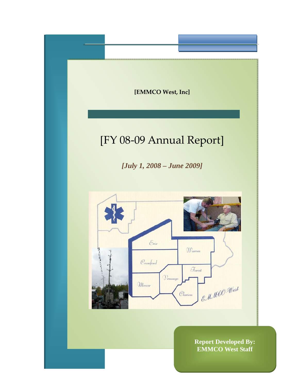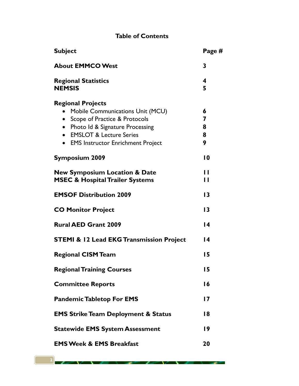# **Table of Contents**

| <b>Subject</b>                                                                                                                                                                                                                                            | Page #                |
|-----------------------------------------------------------------------------------------------------------------------------------------------------------------------------------------------------------------------------------------------------------|-----------------------|
| <b>About EMMCO West</b>                                                                                                                                                                                                                                   | 3                     |
| <b>Regional Statistics</b><br><b>NEMSIS</b>                                                                                                                                                                                                               | 4<br>5                |
| <b>Regional Projects</b><br>Mobile Communications Unit (MCU)<br>Scope of Practice & Protocols<br>Photo Id & Signature Processing<br>$\bullet$<br><b>EMSLOT &amp; Lecture Series</b><br>$\bullet$<br><b>EMS Instructor Enrichment Project</b><br>$\bullet$ | 6<br>7<br>8<br>8<br>9 |
| <b>Symposium 2009</b>                                                                                                                                                                                                                                     | $\overline{10}$       |
| <b>New Symposium Location &amp; Date</b><br><b>MSEC &amp; Hospital Trailer Systems</b>                                                                                                                                                                    | П<br>$\mathbf{I}$     |
| <b>EMSOF Distribution 2009</b>                                                                                                                                                                                                                            | $\overline{13}$       |
| <b>CO Monitor Project</b>                                                                                                                                                                                                                                 | $\overline{13}$       |
| <b>Rural AED Grant 2009</b>                                                                                                                                                                                                                               | $\overline{14}$       |
| <b>STEMI &amp; 12 Lead EKG Transmission Project</b>                                                                                                                                                                                                       | $\overline{14}$       |
| <b>Regional CISM Team</b>                                                                                                                                                                                                                                 | 15                    |
| <b>Regional Training Courses</b>                                                                                                                                                                                                                          | 15                    |
| <b>Committee Reports</b>                                                                                                                                                                                                                                  | 16                    |
| <b>Pandemic Tabletop For EMS</b>                                                                                                                                                                                                                          | $\overline{17}$       |
| <b>EMS Strike Team Deployment &amp; Status</b>                                                                                                                                                                                                            | 18                    |
| <b>Statewide EMS System Assessment</b>                                                                                                                                                                                                                    | $\overline{19}$       |
| <b>EMS Week &amp; EMS Breakfast</b>                                                                                                                                                                                                                       | 20                    |

↗

x

x

٠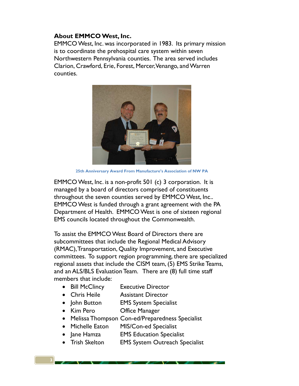## **About EMMCO West, Inc.**

EMMCO West, Inc. was incorporated in 1983. Its primary mission is to coordinate the prehospital care system within seven Northwestern Pennsylvania counties. The area served includes Clarion, Crawford, Erie, Forest, Mercer, Venango, and Warren counties.



**25th Anniversary Award From Manufacture's Association of NW PA** 

EMMCO West, Inc. is a non-profit 501 (c) 3 corporation. It is managed by a board of directors comprised of constituents throughout the seven counties served by EMMCO West, Inc.. EMMCO West is funded through a grant agreement with the PA Department of Health. EMMCO West is one of sixteen regional EMS councils located throughout the Commonwealth.

To assist the EMMCO West Board of Directors there are subcommittees that include the Regional Medical Advisory (RMAC), Transportation, Quality Improvement, and Executive committees. To support region programming, there are specialized regional assets that include the CISM team, (5) EMS Strike Teams, and an ALS/BLS Evaluation Team. There are (8) full time staff members that include:

- Bill McClincy Executive Director
- Chris Heile Assistant Director
- John Button **EMS** System Specialist
- Kim Pero **Office Manager**

**3**

- Melissa Thompson Con-ed/Preparedness Specialist
- Michelle Eaton MIS/Con-ed Specialist
- Jane Hamza EMS Education Specialist
- Trish Skelton EMS System Outreach Specialist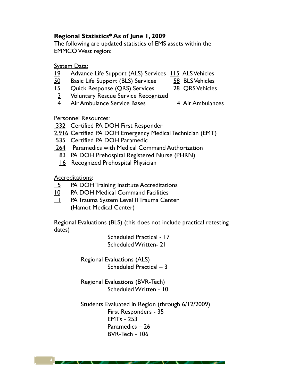# **Regional Statistics\* As of June 1, 2009**

The following are updated statistics of EMS assets within the EMMCO West region:

**System Data:** 

- 19 Advance Life Support (ALS) Services 115 ALS Vehicles
- 50 Basic Life Support (BLS) Services 58 BLS Vehicles
- 15 Quick Response (QRS) Services 28 QRS Vehicles
- 3 Voluntary Rescue Service Recognized
- 4 Air Ambulance Service Bases 4 Air Ambulances
- 

Personnel Resources:

**332** Certified PA DOH First Responder

- 2,916 Certified PA DOH Emergency Medical Technician (EMT)
- 535 Certified PA DOH Paramedic
- 264 Paramedics with Medical Command Authorization
	- 83 PA DOH Prehospital Registered Nurse (PHRN)
	- **16** Recognized Prehospital Physician

Accreditations:

- 5 PA DOH Training Institute Accreditations
- 10 PA DOH Medical Command Facilities
- 1 PA Trauma System Level II Trauma Center (Hamot Medical Center)

Regional Evaluations (BLS) (this does not include practical retesting dates)

> Scheduled Practical - 17 Scheduled Written- 21

 Regional Evaluations (ALS) Scheduled Practical – 3

 Regional Evaluations (BVR-Tech) Scheduled Written - 10

 Students Evaluated in Region (through 6/12/2009) First Responders - 35 EMTs - 253 Paramedics – 26 BVR-Tech - 106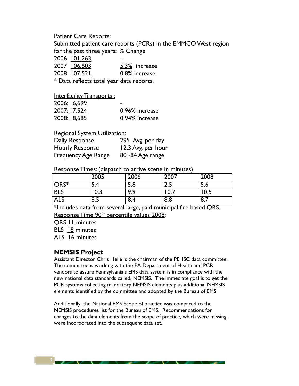Patient Care Reports:

Submitted patient care reports (PCRs) in the EMMCO West region for the past three years: % Change

2006 101,263 - 2007 106,603 5.3% increase

| LUU/ IUD.OUJ | 3.3% THEFEASE |  |
|--------------|---------------|--|
| 2008 107,521 | 0.8% increase |  |
|              |               |  |

\* Data reflects total year data reports.

Interfacility Transports:

| 2006: 16,699 | -              |
|--------------|----------------|
| 2007: 17,524 | 0.96% increase |
| 2008: 18,685 | 0.94% increase |

Regional System Utilization:

| Daily Response             | 295 Avg. per day   |
|----------------------------|--------------------|
| <b>Hourly Response</b>     | 12.3 Avg. per hour |
| <b>Frequency Age Range</b> | 80 - 84 Age range  |

Response Times: (dispatch to arrive scene in minutes)

|            | 2005             | 2006 | 2007 | 2008 |
|------------|------------------|------|------|------|
| QRS*       | 5.4              | 5.8  | د.ء  | J.O  |
| <b>BLS</b> | $\overline{0.3}$ | 9.9  | 10.7 | 0.5  |
| <b>ALS</b> | 8.5              | 8.4  | 8.8  | 8.7  |

\*Includes data from several large, paid municipal fire based QRS. Response Time 90<sup>th</sup> percentile values 2008:

QRS 11 minutes

BLS 18 minutes

ALS 16 minutes

### **NEMSIS Project**

Assistant Director Chris Heile is the chairman of the PEHSC data committee. The committee is working with the PA Department of Health and PCR vendors to assure Pennsylvania's EMS data system is in compliance with the new national data standards called, NEMSIS. The immediate goal is to get the PCR systems collecting mandatory NEMSIS elements plus additional NEMSIS elements identified by the committee and adopted by the Bureau of EMS

Additionally, the National EMS Scope of practice was compared to the NEMSIS procedures list for the Bureau of EMS. Recommendations for changes to the data elements from the scope of practice, which were missing, were incorporated into the subsequent data set.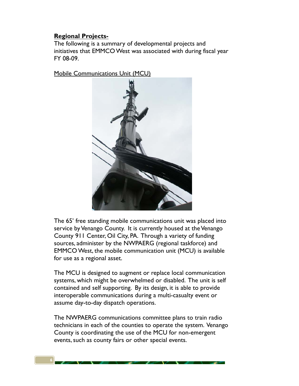## **Regional Projects-**

The following is a summary of developmental projects and initiatives that EMMCO West was associated with during fiscal year FY 08-09.

Mobile Communications Unit (MCU)



The 65' free standing mobile communications unit was placed into service by Venango County. It is currently housed at the Venango County 911 Center, Oil City, PA. Through a variety of funding sources, administer by the NWPAERG (regional taskforce) and EMMCO West, the mobile communication unit (MCU) is available for use as a regional asset.

The MCU is designed to augment or replace local communication systems, which might be overwhelmed or disabled. The unit is self contained and self supporting. By its design, it is able to provide interoperable communications during a multi-casualty event or assume day-to-day dispatch operations.

The NWPAERG communications committee plans to train radio technicians in each of the counties to operate the system. Venango County is coordinating the use of the MCU for non-emergent events, such as county fairs or other special events.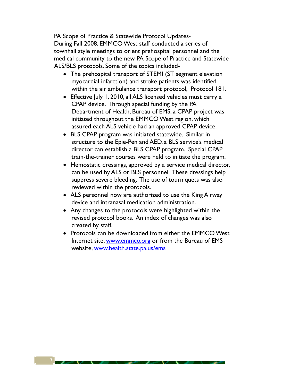PA Scope of Practice & Statewide Protocol Updates-

During Fall 2008, EMMCO West staff conducted a series of townhall style meetings to orient prehospital personnel and the medical community to the new PA Scope of Practice and Statewide ALS/BLS protocols. Some of the topics included-

- The prehospital transport of STEMI (ST segment elevation myocardial infarction) and stroke patients was identified within the air ambulance transport protocol, Protocol 181.
- Effective July 1, 2010, all ALS licensed vehicles must carry a CPAP device. Through special funding by the PA Department of Health, Bureau of EMS, a CPAP project was initiated throughout the EMMCO West region, which assured each ALS vehicle had an approved CPAP device.
- BLS CPAP program was initiated statewide. Similar in structure to the Epie-Pen and AED, a BLS service's medical director can establish a BLS CPAP program. Special CPAP train-the-trainer courses were held to initiate the program.
- Hemostatic dressings, approved by a service medical director, can be used by ALS or BLS personnel. These dressings help suppress severe bleeding. The use of tourniquets was also reviewed within the protocols.
- ALS personnel now are authorized to use the King Airway device and intranasal medication administration.
- Any changes to the protocols were highlighted within the revised protocol books. An index of changes was also created by staff.
- Protocols can be downloaded from either the EMMCO West Internet site, www.emmco.org or from the Bureau of EMS website, www.health.state.pa.us/ems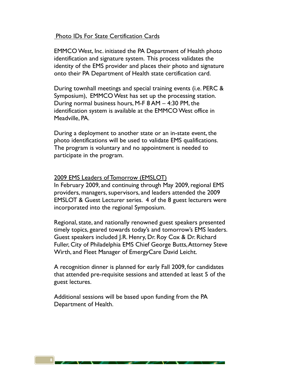#### Photo IDs For State Certification Cards

EMMCO West, Inc. initiated the PA Department of Health photo identification and signature system. This process validates the identity of the EMS provider and places their photo and signature onto their PA Department of Health state certification card.

During townhall meetings and special training events (i.e. PERC & Symposium), EMMCO West has set up the processing station. During normal business hours, M-F 8 AM – 4:30 PM, the identification system is available at the EMMCO West office in Meadville, PA.

During a deployment to another state or an in-state event, the photo identifications will be used to validate EMS qualifications. The program is voluntary and no appointment is needed to participate in the program.

#### 2009 EMS Leaders of Tomorrow (EMSLOT)

In February 2009, and continuing through May 2009, regional EMS providers, managers, supervisors, and leaders attended the 2009 EMSLOT & Guest Lecturer series. 4 of the 8 guest lecturers were incorporated into the regional Symposium.

Regional, state, and nationally renowned guest speakers presented timely topics, geared towards today's and tomorrow's EMS leaders. Guest speakers included J.R. Henry, Dr. Roy Cox & Dr. Richard Fuller, City of Philadelphia EMS Chief George Butts, Attorney Steve Wirth, and Fleet Manager of EmergyCare David Leicht.

A recognition dinner is planned for early Fall 2009, for candidates that attended pre-requisite sessions and attended at least 5 of the guest lectures.

Additional sessions will be based upon funding from the PA Department of Health.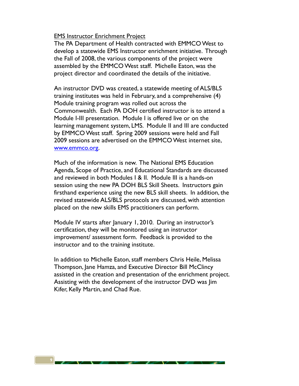#### **EMS Instructor Enrichment Project**

The PA Department of Health contracted with EMMCO West to develop a statewide EMS Instructor enrichment initiative. Through the Fall of 2008, the various components of the project were assembled by the EMMCO West staff. Michelle Eaton, was the project director and coordinated the details of the initiative.

An instructor DVD was created, a statewide meeting of ALS/BLS training institutes was held in February, and a comprehensive (4) Module training program was rolled out across the Commonwealth. Each PA DOH certified instructor is to attend a Module I-III presentation. Module I is offered live or on the learning management system, LMS. Module II and III are conducted by EMMCO West staff. Spring 2009 sessions were held and Fall 2009 sessions are advertised on the EMMCO West internet site, www.emmco.org.

Much of the information is new. The National EMS Education Agenda, Scope of Practice, and Educational Standards are discussed and reviewed in both Modules I & II. Module III is a hands-on session using the new PA DOH BLS Skill Sheets. Instructors gain firsthand experience using the new BLS skill sheets. In addition, the revised statewide ALS/BLS protocols are discussed, with attention placed on the new skills EMS practitioners can perform.

Module IV starts after January 1, 2010. During an instructor's certification, they will be monitored using an instructor improvement/ assessment form. Feedback is provided to the instructor and to the training institute.

In addition to Michelle Eaton, staff members Chris Heile, Melissa Thompson, Jane Hamza, and Executive Director Bill McClincy assisted in the creation and presentation of the enrichment project. Assisting with the development of the instructor DVD was Jim Kifer, Kelly Martin, and Chad Rue.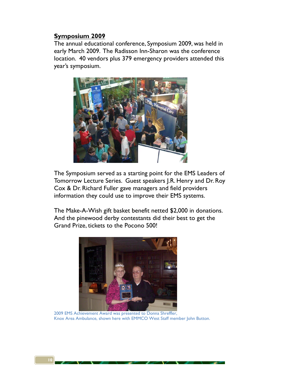### **Symposium 2009**

The annual educational conference, Symposium 2009, was held in early March 2009. The Radisson Inn-Sharon was the conference location. 40 vendors plus 379 emergency providers attended this year's symposium.



The Symposium served as a starting point for the EMS Leaders of Tomorrow Lecture Series. Guest speakers J.R. Henry and Dr. Roy Cox & Dr. Richard Fuller gave managers and field providers information they could use to improve their EMS systems.

The Make-A-Wish gift basket benefit netted \$2,000 in donations. And the pinewood derby contestants did their best to get the Grand Prize, tickets to the Pocono 500!



 2009 EMS Achievement Award was presented to Donna Shreffler, Knox Area Ambulance, shown here with EMMCO West Staff member John Button.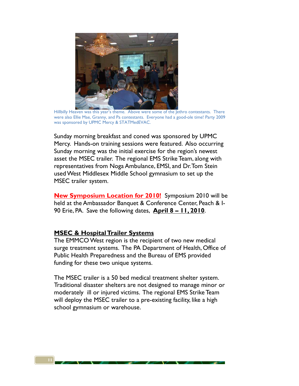

 Hillbilly Heaven was this year's theme. Above were some of the Jethro contestants. There were also Ellie Mae, Granny, and Pa contestants. Everyone had a good-ole time! Party 2009 was sponsored by UPMC Mercy & STATMedEVAC.

Sunday morning breakfast and coned was sponsored by UPMC Mercy. Hands-on training sessions were featured. Also occurring Sunday morning was the initial exercise for the region's newest asset the MSEC trailer. The regional EMS Strike Team, along with representatives from Noga Ambulance, EMSI, and Dr. Tom Stein used West Middlesex Middle School gymnasium to set up the MSEC trailer system.

**New Symposium Location for 2010!** Symposium 2010 will be held at the Ambassador Banquet & Conference Center, Peach & I-90 Erie, PA. Save the following dates, **April 8 – 11, 2010**.

#### **MSEC & Hospital Trailer Systems**

The EMMCO West region is the recipient of two new medical surge treatment systems. The PA Department of Health, Office of Public Health Preparedness and the Bureau of EMS provided funding for these two unique systems.

The MSEC trailer is a 50 bed medical treatment shelter system. Traditional disaster shelters are not designed to manage minor or moderately ill or injured victims. The regional EMS Strike Team will deploy the MSEC trailer to a pre-existing facility, like a high school gymnasium or warehouse.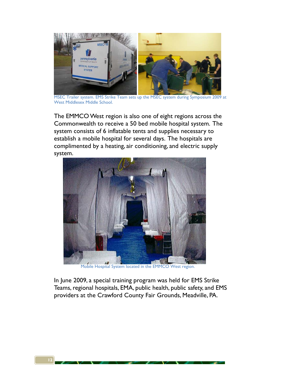

MSEC Trailer system. EMS Strike Team sets up the MSEC system during Symposium 2009 at West Middlesex Middle School.

The EMMCO West region is also one of eight regions across the Commonwealth to receive a 50 bed mobile hospital system. The system consists of 6 inflatable tents and supplies necessary to establish a mobile hospital for several days. The hospitals are complimented by a heating, air conditioning, and electric supply system.



In June 2009, a special training program was held for EMS Strike Teams, regional hospitals, EMA, public health, public safety, and EMS providers at the Crawford County Fair Grounds, Meadville, PA.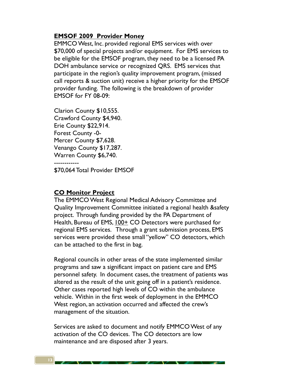### **EMSOF 2009 Provider Money**

EMMCO West, Inc. provided regional EMS services with over \$70,000 of special projects and/or equipment. For EMS services to be eligible for the EMSOF program, they need to be a licensed PA DOH ambulance service or recognized QRS. EMS services that participate in the region's quality improvement program, (missed call reports & suction unit) receive a higher priority for the EMSOF provider funding. The following is the breakdown of provider EMSOF for FY 08-09:

Clarion County \$10,555. Crawford County \$4,940. Erie County \$22,914. Forest County -0- Mercer County \$7,628. Venango County \$17,287. Warren County \$6,740. ------------ \$70,064 Total Provider EMSOF

**CO Monitor Project** 

The EMMCO West Regional Medical Advisory Committee and Quality Improvement Committee initiated a regional health &safety project. Through funding provided by the PA Department of Health, Bureau of EMS, 100+ CO Detectors were purchased for regional EMS services. Through a grant submission process, EMS services were provided these small "yellow" CO detectors, which can be attached to the first in bag.

Regional councils in other areas of the state implemented similar programs and saw a significant impact on patient care and EMS personnel safety. In document cases, the treatment of patients was altered as the result of the unit going off in a patient's residence. Other cases reported high levels of CO within the ambulance vehicle. Within in the first week of deployment in the EMMCO West region, an activation occurred and affected the crew's management of the situation.

Services are asked to document and notify EMMCO West of any activation of the CO devices. The CO detectors are low maintenance and are disposed after 3 years.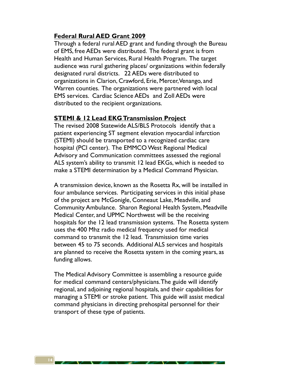### **Federal Rural AED Grant 2009**

Through a federal rural AED grant and funding through the Bureau of EMS, free AEDs were distributed. The federal grant is from Health and Human Services, Rural Health Program. The target audience was rural gathering places/ organizations within federally designated rural districts. 22 AEDs were distributed to organizations in Clarion, Crawford, Erie, Mercer, Venango, and Warren counties. The organizations were partnered with local EMS services. Cardiac Science AEDs and Zoll AEDs were distributed to the recipient organizations.

#### **STEMI & 12 Lead EKG Transmission Project**

The revised 2008 Statewide ALS/BLS Protocols identify that a patient experiencing ST segment elevation myocardial infarction (STEMI) should be transported to a recognized cardiac care hospital (PCI center). The EMMCO West Regional Medical Advisory and Communication committees assessed the regional ALS system's ability to transmit 12 lead EKGs, which is needed to make a STEMI determination by a Medical Command Physician.

A transmission device, known as the Rosetta Rx, will be installed in four ambulance services. Participating services in this initial phase of the project are McGonigle, Conneaut Lake, Meadville, and Community Ambulance. Sharon Regional Health System, Meadville Medical Center, and UPMC Northwest will be the receiving hospitals for the 12 lead transmission systems. The Rosetta system uses the 400 Mhz radio medical frequency used for medical command to transmit the 12 lead. Transmission time varies between 45 to 75 seconds. Additional ALS services and hospitals are planned to receive the Rosetta system in the coming years, as funding allows.

The Medical Advisory Committee is assembling a resource guide for medical command centers/physicians. The guide will identify regional, and adjoining regional hospitals, and their capabilities for managing a STEMI or stroke patient. This guide will assist medical command physicians in directing prehospital personnel for their transport of these type of patients.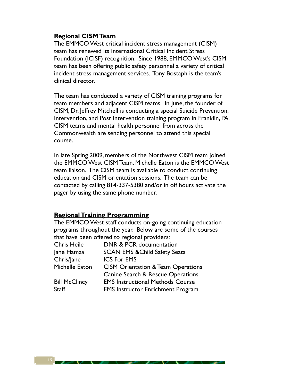## **Regional CISM Team**

The EMMCO West critical incident stress management (CISM) team has renewed its International Critical Incident Stress Foundation (ICISF) recognition. Since 1988, EMMCO West's CISM team has been offering public safety personnel a variety of critical incident stress management services. Tony Bostaph is the team's clinical director.

The team has conducted a variety of CISM training programs for team members and adjacent CISM teams. In June, the founder of CISM, Dr. Jeffrey Mitchell is conducting a special Suicide Prevention, Intervention, and Post Intervention training program in Franklin, PA. CISM teams and mental health personnel from across the Commonwealth are sending personnel to attend this special course.

In late Spring 2009, members of the Northwest CISM team joined the EMMCO West CISM Team. Michelle Eaton is the EMMCO West team liaison. The CISM team is available to conduct continuing education and CISM orientation sessions. The team can be contacted by calling 814-337-5380 and/or in off hours activate the pager by using the same phone number.

### **Regional Training Programming**

The EMMCO West staff conducts on-going continuing education programs throughout the year. Below are some of the courses that have been offered to regional providers:

| DNR & PCR documentation                       |
|-----------------------------------------------|
| <b>SCAN EMS &amp; Child Safety Seats</b>      |
| <b>ICS For EMS</b>                            |
| <b>CISM Orientation &amp; Team Operations</b> |
| Canine Search & Rescue Operations             |
| <b>EMS Instructional Methods Course</b>       |
| <b>EMS Instructor Enrichment Program</b>      |
|                                               |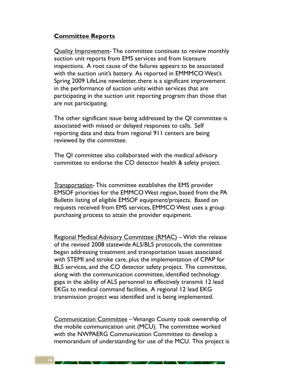### **Committee Reports**

Quality Improvement- The committee continues to review monthly suction unit reports from EMS services and from licensure inspections. A root cause of the failures appears to be associated with the suction unit's battery. As reported in EMMMCO West's Spring 2009 LifeLine newsletter, there is a significant improvement in the performance of suction units within services that are participating in the suction unit reporting program than those that are not participating.

The other significant issue being addressed by the QI committee is associated with missed or delayed responses to calls. Self reporting data and data from regional 911 centers are being reviewed by the committee.

The QI committee also collaborated with the medical advisory committee to endorse the CO detector health & safety project.

Transportation- This committee establishes the EMS provider EMSOF priorities for the EMMCO West region, based from the PA Bulletin listing of eligible EMSOF equipment/projects. Based on requests received from EMS services, EMMCO West uses a group purchasing process to attain the provider equipment.

Regional Medical Advisory Committee (RMAC) – With the release of the revised 2008 statewide ALS/BLS protocols, the committee began addressing treatment and transportation issues associated with STEMI and stroke care, plus the implementation of CPAP for BLS services, and the CO detector safety project. The committee, along with the communication committee, identified technology gaps in the ability of ALS personnel to effectively transmit 12 lead EKGs to medical command facilities. A regional 12 lead EKG transmission project was identified and is being implemented.

Communication Committee – Venango County took ownership of the mobile communication unit (MCU). The committee worked with the NWPAERG Communication Committee to develop a memorandum of understanding for use of the MCU. This project is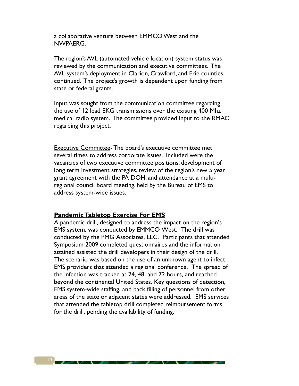a collaborative venture between EMMCO West and the NWPAERG.

The region's AVL (automated vehicle location) system status was reviewed by the communication and executive committees. The AVL system's deployment in Clarion, Crawford, and Erie counties continued. The project's growth is dependent upon funding from state or federal grants.

Input was sought from the communication committee regarding the use of 12 lead EKG transmissions over the existing 400 Mhz medical radio system. The committee provided input to the RMAC regarding this project.

Executive Committee- The board's executive committee met several times to address corporate issues. Included were the vacancies of two executive committee positions, development of long term investment strategies, review of the region's new 5 year grant agreement with the PA DOH, and attendance at a multiregional council board meeting, held by the Bureau of EMS to address system-wide issues.

#### **Pandemic Tabletop Exercise For EMS**

A pandemic drill, designed to address the impact on the region's EMS system, was conducted by EMMCO West. The drill was conducted by the PMG Associates, LLC. Participants that attended Symposium 2009 completed questionnaires and the information attained assisted the drill developers in their design of the drill. The scenario was based on the use of an unknown agent to infect EMS providers that attended a regional conference. The spread of the infection was tracked at 24, 48, and 72 hours, and reached beyond the continental United States. Key questions of detection, EMS system-wide staffing, and back filling of personnel from other areas of the state or adjacent states were addressed. EMS services that attended the tabletop drill completed reimbursement forms for the drill, pending the availability of funding.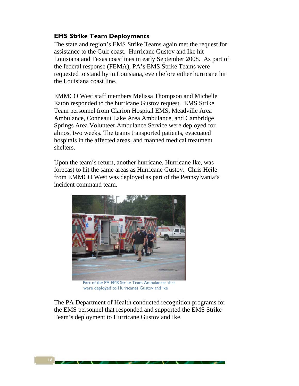## **EMS Strike Team Deployments**

The state and region's EMS Strike Teams again met the request for assistance to the Gulf coast. Hurricane Gustov and Ike hit Louisiana and Texas coastlines in early September 2008. As part of the federal response (FEMA), PA's EMS Strike Teams were requested to stand by in Louisiana, even before either hurricane hit the Louisiana coast line.

EMMCO West staff members Melissa Thompson and Michelle Eaton responded to the hurricane Gustov request. EMS Strike Team personnel from Clarion Hospital EMS, Meadville Area Ambulance, Conneaut Lake Area Ambulance, and Cambridge Springs Area Volunteer Ambulance Service were deployed for almost two weeks. The teams transported patients, evacuated hospitals in the affected areas, and manned medical treatment shelters.

Upon the team's return, another hurricane, Hurricane Ike, was forecast to hit the same areas as Hurricane Gustov. Chris Heile from EMMCO West was deployed as part of the Pennsylvania's incident command team.



 Part of the PA EMS Strike Team Ambulances that were deployed to Hurricanes Gustov and Ike

The PA Department of Health conducted recognition programs for the EMS personnel that responded and supported the EMS Strike Team's deployment to Hurricane Gustov and Ike.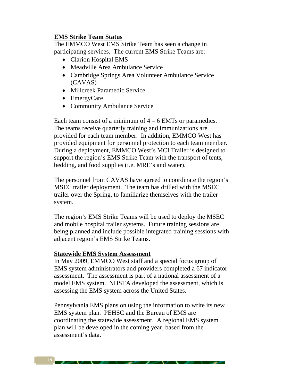### **EMS Strike Team Status**

The EMMCO West EMS Strike Team has seen a change in participating services. The current EMS Strike Teams are:

- Clarion Hospital EMS
- Meadville Area Ambulance Service
- Cambridge Springs Area Volunteer Ambulance Service (CAVAS)
- Millcreek Paramedic Service
- EmergyCare
- Community Ambulance Service

Each team consist of a minimum of  $4 - 6$  EMTs or paramedics. The teams receive quarterly training and immunizations are provided for each team member. In addition, EMMCO West has provided equipment for personnel protection to each team member. During a deployment, EMMCO West's MCI Trailer is designed to support the region's EMS Strike Team with the transport of tents, bedding, and food supplies (i.e. MRE's and water).

The personnel from CAVAS have agreed to coordinate the region's MSEC trailer deployment. The team has drilled with the MSEC trailer over the Spring, to familiarize themselves with the trailer system.

The region's EMS Strike Teams will be used to deploy the MSEC and mobile hospital trailer systems. Future training sessions are being planned and include possible integrated training sessions with adjacent region's EMS Strike Teams.

#### **Statewide EMS System Assessment**

In May 2009, EMMCO West staff and a special focus group of EMS system administrators and providers completed a 67 indicator assessment. The assessment is part of a national assessment of a model EMS system. NHSTA developed the assessment, which is assessing the EMS system across the United States.

Pennsylvania EMS plans on using the information to write its new EMS system plan. PEHSC and the Bureau of EMS are coordinating the statewide assessment. A regional EMS system plan will be developed in the coming year, based from the assessment's data.

**19**